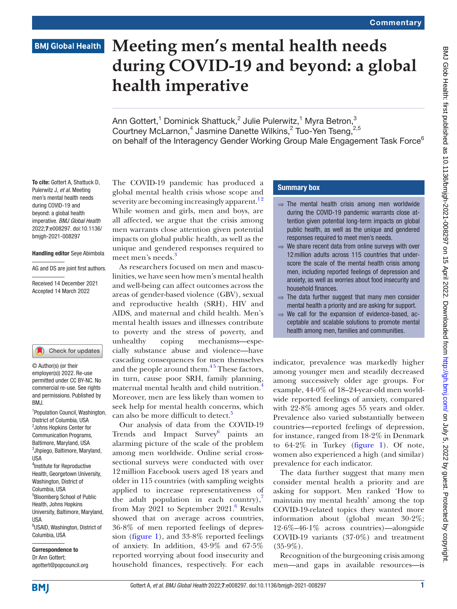# **BMJ Global Health**

# **Meeting men's mental health needs during COVID-19 and beyond: a global health imperative**

Ann Gottert,<sup>1</sup> Dominick Shattuck,<sup>2</sup> Julie Pulerwitz,<sup>1</sup> Myra Betron,<sup>3</sup> Courtney McLarnon,<sup>4</sup> Jasmine Danette Wilkins,<sup>2</sup> Tuo-Yen Tseng,<sup>2,5</sup> on behalf of the Interagency Gender Working Group Male Engagement Task Force<sup>6</sup>

To cite: Gottert A, Shattuck D, Pulerwitz J, *et al*. Meeting men's mental health needs during COVID-19 and beyond: a global health imperative. *BMJ Global Health* 2022;7:e008297. doi:10.1136/ bmjgh-2021-008297

## Handling editor Seye Abimbola

AG and DS are joint first authors.

Received 14 December 2021 Accepted 14 March 2022

#### Check for updates

© Author(s) (or their employer(s)) 2022. Re-use permitted under CC BY-NC. No commercial re-use. See rights and permissions. Published by BMJ.

1 Population Council, Washington, District of Columbia, USA 2 Johns Hopkins Center for Communication Programs, Baltimore, Maryland, USA 3 Jhpiego, Baltimore, Maryland, USA 4 Institute for Reproductive Health, Georgetown University, Washington, District of Columbia, USA 5 Bloomberg School of Public Health, Johns Hopkins University, Baltimore, Maryland, USA 6 USAID, Washington, District of Columbia, USA

Correspondence to Dr Ann Gottert; agottert@popcouncil.org The COVID-19 pandemic has produced a global mental health crisis whose scope and severity are becoming increasingly apparent.<sup>12</sup> While women and girls, men and boys, are all affected, we argue that the crisis among men warrants close attention given potential impacts on global public health, as well as the unique and gendered responses required to meet men's needs.<sup>[3](#page-2-1)</sup>

As researchers focused on men and masculinities, we have seen how men's mental health and well-being can affect outcomes across the areas of gender-based violence (GBV), sexual and reproductive health (SRH), HIV and AIDS, and maternal and child health. Men's mental health issues and illnesses contribute to poverty and the stress of poverty, and unhealthy coping mechanisms—especially substance abuse and violence—have cascading consequences for men themselves and the people around them. $15$  These factors, in turn, cause poor SRH, family planning, maternal mental health and child nutrition.<sup>4</sup> Moreover, men are less likely than women to seek help for mental health concerns, which can also be more difficult to detect.<sup>[5](#page-2-3)</sup>

Our analysis of data from the COVID-19 Trends and Impact Survey<sup>[6](#page-2-4)</sup> paints an alarming picture of the scale of the problem among men worldwide. Online serial crosssectional surveys were conducted with over 12million Facebook users aged 18 years and older in 115 countries (with sampling weights applied to increase representativeness of the adult population in each country), $\frac{7}{7}$ from May  $2021$  to September  $2021$ .<sup>[6](#page-2-4)</sup> Results showed that on average across countries, 36·8% of men reported feelings of depres-sion [\(figure](#page-1-0) 1), and  $33.8\%$  reported feelings of anxiety. In addition, 43·9% and 67·5% reported worrying about food insecurity and household finances, respectively. For each

# Summary box

- $\Rightarrow$  The mental health crisis among men worldwide during the COVID-19 pandemic warrants close attention given potential long-term impacts on global public health, as well as the unique and gendered responses required to meet men's needs.
- ⇒ We share recent data from online surveys with over 12million adults across 115 countries that underscore the scale of the mental health crisis among men, including reported feelings of depression and anxiety, as well as worries about food insecurity and household finances.
- ⇒ The data further suggest that many men consider mental health a priority and are asking for support.
- $\Rightarrow$  We call for the expansion of evidence-based, acceptable and scalable solutions to promote mental health among men, families and communities.

indicator, prevalence was markedly higher among younger men and steadily decreased among successively older age groups. For example, 44·0% of 18–24-year-old men worldwide reported feelings of anxiety, compared with 22·8% among ages 55 years and older. Prevalence also varied substantially between countries—reported feelings of depression, for instance, ranged from 18·2% in Denmark to 64·2% in Turkey ([figure](#page-1-0) 1). Of note, women also experienced a high (and similar) prevalence for each indicator.

The data further suggest that many men consider mental health a priority and are asking for support. Men ranked 'How to maintain my mental health' among the top COVID-19-related topics they wanted more information about (global mean 30·2%; 12·6%–46·1% across countries)—alongside COVID-19 variants (37·0%) and treatment  $(35.9\%)$ .

Recognition of the burgeoning crisis among men—and gaps in available resources—is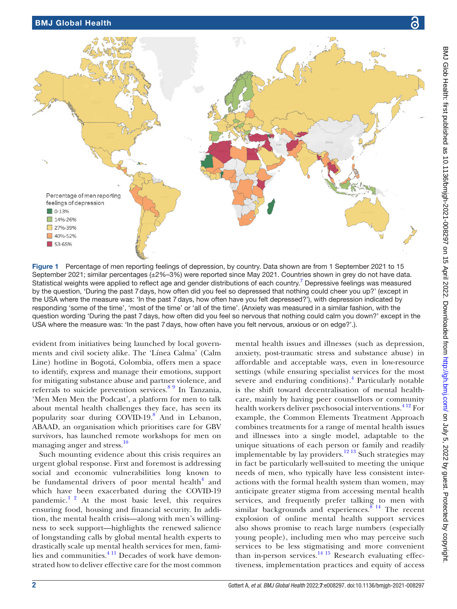

<span id="page-1-0"></span>Figure 1 Percentage of men reporting feelings of depression, by country. Data shown are from 1 September 2021 to 15 September 2021; similar percentages (±2%–3%) were reported since May 2021. Countries shown in grey do not have data. Statistical weights were applied to reflect age and gender distributions of each country.<sup>[7](#page-2-5)</sup> Depressive feelings was measured by the question, 'During the past 7days, how often did you feel so depressed that nothing could cheer you up?' (except in the USA where the measure was: 'In the past 7days, how often have you felt depressed?'), with depression indicated by responding 'some of the time', 'most of the time' or 'all of the time'. (Anxiety was measured in a similar fashion, with the question wording 'During the past 7days, how often did you feel so nervous that nothing could calm you down?' except in the USA where the measure was: 'In the past 7days, how often have you felt nervous, anxious or on edge?'.).

evident from initiatives being launched by local governments and civil society alike. The 'Línea Calma' (Calm Line) hotline in Bogotá, Colombia, offers men a space to identify, express and manage their emotions, support for mitigating substance abuse and partner violence, and referrals to suicide prevention services.[8 9](#page-2-6) In Tanzania, 'Men Men Men the Podcast', a platform for men to talk about mental health challenges they face, has seen its popularity soar during COVID-19.<sup>8</sup> And in Lebanon, ABAAD, an organisation which prioritises care for GBV survivors, has launched remote workshops for men on managing anger and stress.<sup>[10](#page-2-7)</sup>

Such mounting evidence about this crisis requires an urgent global response. First and foremost is addressing social and economic vulnerabilities long known to be fundamental drivers of poor mental health<sup>[4](#page-2-2)</sup> and which have been exacerbated during the COVID-19 pandemic. $1^2$  At the most basic level, this requires ensuring food, housing and financial security. In addition, the mental health crisis—along with men's willingness to seek support—highlights the renewed salience of longstanding calls by global mental health experts to drastically scale up mental health services for men, families and communities. $411$  Decades of work have demonstrated how to deliver effective care for the most common

mental health issues and illnesses (such as depression, anxiety, post-traumatic stress and substance abuse) in affordable and acceptable ways, even in low-resource settings (while ensuring specialist services for the most severe and enduring conditions).<sup>[4](#page-2-2)</sup> Particularly notable is the shift toward decentralisation of mental healthcare, mainly by having peer counsellors or community health workers deliver psychosocial interventions.<sup>412</sup> For example, the Common Elements Treatment Approach combines treatments for a range of mental health issues and illnesses into a single model, adaptable to the unique situations of each person or family and readily implementable by lay providers.<sup>[12 13](#page-2-8)</sup> Such strategies may in fact be particularly well-suited to meeting the unique needs of men, who typically have less consistent interactions with the formal health system than women, may anticipate greater stigma from accessing mental health services, and frequently prefer talking to men with similar backgrounds and experiences. $814$  The recent explosion of online mental health support services also shows promise to reach large numbers (especially young people), including men who may perceive such services to be less stigmatising and more convenient than in-person services.<sup>14 15</sup> Research evaluating effectiveness, implementation practices and equity of access